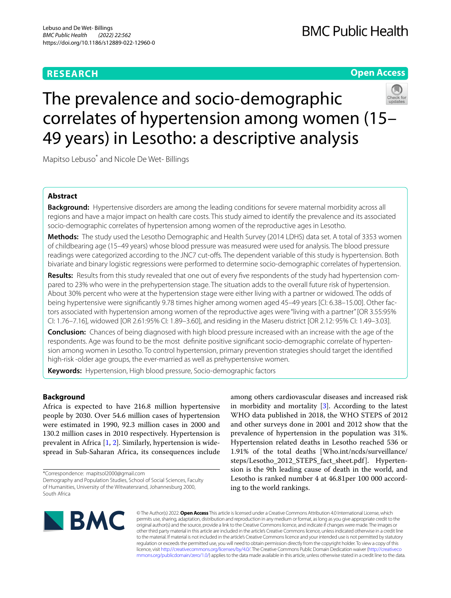# **RESEARCH**

# **Open Access**

# The prevalence and socio-demographic correlates of hypertension among women (15– 49 years) in Lesotho: a descriptive analysis

Mapitso Lebuso\* and Nicole De Wet‑ Billings

# **Abstract**

**Background:** Hypertensive disorders are among the leading conditions for severe maternal morbidity across all regions and have a major impact on health care costs. This study aimed to identify the prevalence and its associated socio-demographic correlates of hypertension among women of the reproductive ages in Lesotho.

**Methods:** The study used the Lesotho Demographic and Health Survey (2014 LDHS) data set. A total of 3353 women of childbearing age (15–49 years) whose blood pressure was measured were used for analysis. The blood pressure readings were categorized according to the JNC7 cut-offs. The dependent variable of this study is hypertension. Both bivariate and binary logistic regressions were performed to determine socio-demographic correlates of hypertension.

Results: Results from this study revealed that one out of every five respondents of the study had hypertension compared to 23% who were in the prehypertension stage. The situation adds to the overall future risk of hypertension. About 30% percent who were at the hypertension stage were either living with a partner or widowed. The odds of being hypertensive were significantly 9.78 times higher among women aged 45–49 years [CI: 6.38–15.00]. Other factors associated with hypertension among women of the reproductive ages were "living with a partner" [OR 3.55:95% CI: 1.76–7.16], widowed [OR 2.61:95% CI: 1.89–3.60], and residing in the Maseru district [OR 2.12: 95% CI: 1.49–3.03].

**Conclusion:** Chances of being diagnosed with high blood pressure increased with an increase with the age of the respondents. Age was found to be the most definite positive significant socio-demographic correlate of hypertension among women in Lesotho. To control hypertension, primary prevention strategies should target the identifed high-risk -older age groups, the ever-married as well as prehypertensive women.

**Keywords:** Hypertension, High blood pressure, Socio-demographic factors

# **Background**

Africa is expected to have 216.8 million hypertensive people by 2030. Over 54.6 million cases of hypertension were estimated in 1990, 92.3 million cases in 2000 and 130.2 million cases in 2010 respectively. Hypertension is prevalent in Africa [\[1](#page-7-0), [2\]](#page-7-1). Similarly, hypertension is widespread in Sub-Saharan Africa, its consequences include among others cardiovascular diseases and increased risk in morbidity and mortality [\[3](#page-7-2)]. According to the latest WHO data published in 2018, the WHO STEPS of 2012 and other surveys done in 2001 and 2012 show that the prevalence of hypertension in the population was 31%. Hypertension related deaths in Lesotho reached 536 or 1.91% of the total deaths [Who.int/ncds/surveillance/ steps/Lesotho\_2012\_STEPS\_fact\_sheet.pdf]. Hypertension is the 9th leading cause of death in the world, and Lesotho is ranked number 4 at 46.81per 100 000 according to the world rankings.



© The Author(s) 2022. **Open Access** This article is licensed under a Creative Commons Attribution 4.0 International License, which permits use, sharing, adaptation, distribution and reproduction in any medium or format, as long as you give appropriate credit to the original author(s) and the source, provide a link to the Creative Commons licence, and indicate if changes were made. The images or other third party material in this article are included in the article's Creative Commons licence, unless indicated otherwise in a credit line to the material. If material is not included in the article's Creative Commons licence and your intended use is not permitted by statutory regulation or exceeds the permitted use, you will need to obtain permission directly from the copyright holder. To view a copy of this licence, visit [http://creativecommons.org/licenses/by/4.0/.](http://creativecommons.org/licenses/by/4.0/) The Creative Commons Public Domain Dedication waiver ([http://creativeco](http://creativecommons.org/publicdomain/zero/1.0/) [mmons.org/publicdomain/zero/1.0/](http://creativecommons.org/publicdomain/zero/1.0/)) applies to the data made available in this article, unless otherwise stated in a credit line to the data.

<sup>\*</sup>Correspondence: mapitsol2000@gmail.com

Demography and Population Studies, School of Social Sciences, Faculty of Humanities, University of the Witwatersrand, Johannesburg 2000, South Africa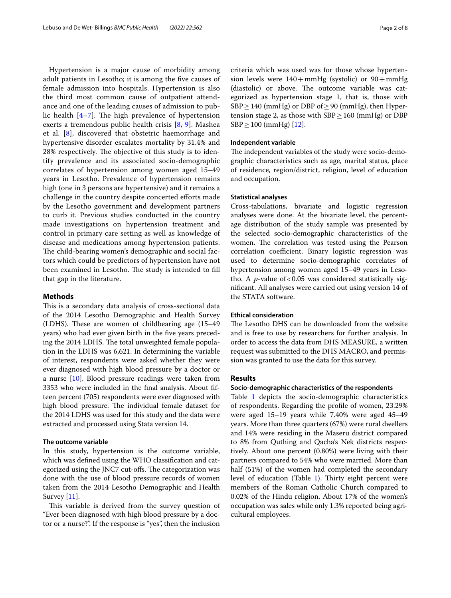Hypertension is a major cause of morbidity among adult patients in Lesotho; it is among the five causes of female admission into hospitals. Hypertension is also the third most common cause of outpatient attendance and one of the leading causes of admission to public health  $[4-7]$  $[4-7]$ . The high prevalence of hypertension exerts a tremendous public health crisis [[8,](#page-7-5) [9](#page-7-6)]. Mashea et al. [[8](#page-7-5)], discovered that obstetric haemorrhage and hypertensive disorder escalates mortality by 31.4% and 28% respectively. The objective of this study is to identify prevalence and its associated socio-demographic correlates of hypertension among women aged 15–49 years in Lesotho. Prevalence of hypertension remains high (one in 3 persons are hypertensive) and it remains a challenge in the country despite concerted eforts made by the Lesotho government and development partners to curb it. Previous studies conducted in the country made investigations on hypertension treatment and control in primary care setting as well as knowledge of disease and medications among hypertension patients. The child-bearing women's demographic and social factors which could be predictors of hypertension have not been examined in Lesotho. The study is intended to fill that gap in the literature.

# **Methods**

This is a secondary data analysis of cross-sectional data of the 2014 Lesotho Demographic and Health Survey (LDHS). These are women of childbearing age  $(15-49)$ years) who had ever given birth in the five years preceding the 2014 LDHS. The total unweighted female population in the LDHS was 6,621. In determining the variable of interest, respondents were asked whether they were ever diagnosed with high blood pressure by a doctor or a nurse [\[10](#page-7-7)]. Blood pressure readings were taken from 3353 who were included in the fnal analysis. About ffteen percent (705) respondents were ever diagnosed with high blood pressure. The individual female dataset for the 2014 LDHS was used for this study and the data were extracted and processed using Stata version 14.

# **The outcome variable**

In this study, hypertension is the outcome variable, which was defned using the WHO classifcation and categorized using the JNC7 cut-offs. The categorization was done with the use of blood pressure records of women taken from the 2014 Lesotho Demographic and Health Survey  $[11]$  $[11]$ .

This variable is derived from the survey question of "Ever been diagnosed with high blood pressure by a doctor or a nurse?". If the response is "yes", then the inclusion criteria which was used was for those whose hypertension levels were  $140+mmHg$  (systolic) or  $90+mmHg$ (diastolic) or above. The outcome variable was categorized as hypertension stage 1, that is, those with  $SBP \geq 140$  (mmHg) or DBP of  $\geq 90$  (mmHg), then Hypertension stage 2, as those with  $SBP \ge 160$  (mmHg) or DBP  $SBP \ge 100$  (mmHg) [[12\]](#page-7-9).

# **Independent variable**

The independent variables of the study were socio-demographic characteristics such as age, marital status, place of residence, region/district, religion, level of education and occupation.

# **Statistical analyses**

Cross-tabulations, bivariate and logistic regression analyses were done. At the bivariate level, the percentage distribution of the study sample was presented by the selected socio-demographic characteristics of the women. The correlation was tested using the Pearson correlation coefficient. Binary logistic regression was used to determine socio-demographic correlates of hypertension among women aged 15–49 years in Lesotho. A *p*-value of < 0.05 was considered statistically signifcant. All analyses were carried out using version 14 of the STATA software.

# **Ethical consideration**

The Lesotho DHS can be downloaded from the website and is free to use by researchers for further analysis. In order to access the data from DHS MEASURE, a written request was submitted to the DHS MACRO, and permission was granted to use the data for this survey.

# **Results**

# **Socio‑demographic characteristics of the respondents**

Table [1](#page-2-0) depicts the socio-demographic characteristics of respondents. Regarding the profle of women, 23.29% were aged 15–19 years while 7.40% were aged 45–49 years. More than three quarters (67%) were rural dwellers and 14% were residing in the Maseru district compared to 8% from Quthing and Qacha's Nek districts respectively. About one percent (0.80%) were living with their partners compared to 54% who were married. More than half (51%) of the women had completed the secondary level of education (Table [1\)](#page-2-0). Thirty eight percent were members of the Roman Catholic Church compared to 0.02% of the Hindu religion. About 17% of the women's occupation was sales while only 1.3% reported being agricultural employees.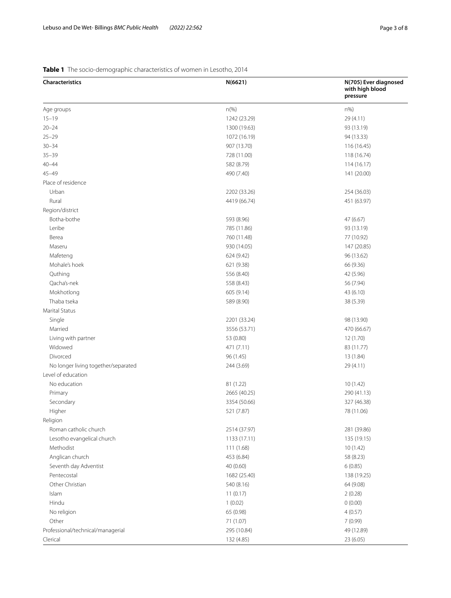# <span id="page-2-0"></span>**Table 1** The socio-demographic characteristics of women in Lesotho, 2014

| <b>Characteristics</b>              | N(6621)      | N(705) Ever diagnosed<br>with high blood<br>pressure |
|-------------------------------------|--------------|------------------------------------------------------|
| Age groups                          | $n(\% )$     | $n\%$                                                |
| $15 - 19$                           | 1242 (23.29) | 29 (4.11)                                            |
| $20 - 24$                           | 1300 (19.63) | 93 (13.19)                                           |
| $25 - 29$                           | 1072 (16.19) | 94 (13.33)                                           |
| $30 - 34$                           | 907 (13.70)  | 116 (16.45)                                          |
| $35 - 39$                           | 728 (11.00)  | 118 (16.74)                                          |
| $40 - 44$                           | 582 (8.79)   | 114(16.17)                                           |
| $45 - 49$                           | 490 (7.40)   | 141 (20.00)                                          |
| Place of residence                  |              |                                                      |
| Urban                               | 2202 (33.26) | 254 (36.03)                                          |
| Rural                               | 4419 (66.74) | 451 (63.97)                                          |
| Region/district                     |              |                                                      |
| Botha-bothe                         | 593 (8.96)   | 47 (6.67)                                            |
| Leribe                              | 785 (11.86)  | 93 (13.19)                                           |
| Berea                               | 760 (11.48)  | 77 (10.92)                                           |
| Maseru                              | 930 (14.05)  | 147 (20.85)                                          |
| Mafeteng                            | 624 (9.42)   | 96 (13.62)                                           |
| Mohale's hoek                       | 621 (9.38)   | 66 (9.36)                                            |
| Quthing                             | 556 (8.40)   | 42 (5.96)                                            |
| Qacha's-nek                         | 558 (8.43)   | 56 (7.94)                                            |
| Mokhotlong                          | 605 (9.14)   | 43 (6.10)                                            |
| Thaba tseka                         | 589 (8.90)   | 38 (5.39)                                            |
| <b>Marital Status</b>               |              |                                                      |
| Single                              | 2201 (33.24) | 98 (13.90)                                           |
| Married                             | 3556 (53.71) | 470 (66.67)                                          |
| Living with partner                 | 53 (0.80)    | 12 (1.70)                                            |
| Widowed                             | 471 (7.11)   | 83 (11.77)                                           |
| Divorced                            | 96 (1.45)    | 13 (1.84)                                            |
| No longer living together/separated | 244 (3.69)   | 29(4.11)                                             |
| Level of education                  |              |                                                      |
| No education                        | 81 (1.22)    | 10(1.42)                                             |
| Primary                             | 2665 (40.25) | 290 (41.13)                                          |
| Secondary                           | 3354 (50.66) | 327 (46.38)                                          |
| Higher                              | 521 (7.87)   | 78 (11.06)                                           |
| Religion                            |              |                                                      |
| Roman catholic church               | 2514 (37.97) | 281 (39.86)                                          |
| Lesotho evangelical church          | 1133 (17.11) | 135 (19.15)                                          |
| Methodist                           | 111 (1.68)   | 10(1.42)                                             |
| Anglican church                     | 453 (6.84)   | 58 (8.23)                                            |
| Seventh day Adventist               | 40 (0.60)    | 6(0.85)                                              |
| Pentecostal                         | 1682 (25.40) | 138 (19.25)                                          |
| Other Christian                     | 540 (8.16)   | 64 (9.08)                                            |
| Islam                               | 11(0.17)     | 2(0.28)                                              |
| Hindu                               | 1(0.02)      | 0(0.00)                                              |
| No religion                         | 65 (0.98)    | 4(0.57)                                              |
| Other                               | 71 (1.07)    | 7(0.99)                                              |
| Professional/technical/managerial   | 295 (10.84)  | 49 (12.89)                                           |
| Clerical                            | 132 (4.85)   | 23 (6.05)                                            |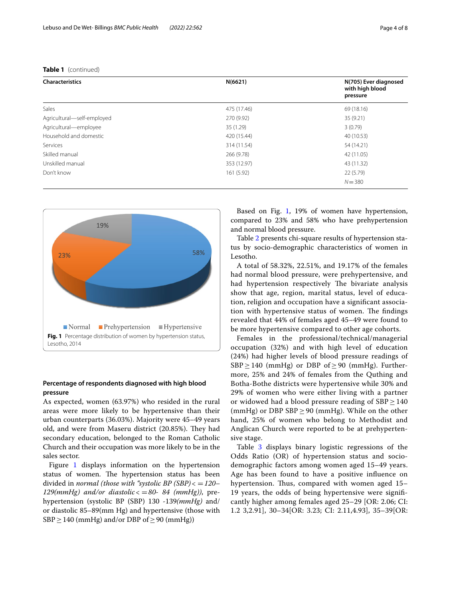# **Table 1** (continued)

| <b>Characteristics</b>     | N(6621)     | N(705) Ever diagnosed<br>with high blood<br>pressure |
|----------------------------|-------------|------------------------------------------------------|
| Sales                      | 475 (17.46) | 69 (18.16)                                           |
| Agricultural-self-employed | 270 (9.92)  | 35 (9.21)                                            |
| Agricultural-employee      | 35 (1.29)   | 3(0.79)                                              |
| Household and domestic     | 420 (15.44) | 40 (10.53)                                           |
| Services                   | 314 (11.54) | 54 (14.21)                                           |
| Skilled manual             | 266 (9.78)  | 42 (11.05)                                           |
| Unskilled manual           | 353 (12.97) | 43 (11.32)                                           |
| Don't know                 | 161(5.92)   | 22 (5.79)                                            |
|                            |             | $N = 380$                                            |



# <span id="page-3-0"></span>**Percentage of respondents diagnosed with high blood pressure**

As expected, women (63.97%) who resided in the rural areas were more likely to be hypertensive than their urban counterparts (36.03%). Majority were 45–49 years old, and were from Maseru district (20.85%). They had secondary education, belonged to the Roman Catholic Church and their occupation was more likely to be in the sales sector.

Figure [1](#page-3-0) displays information on the hypertension status of women. The hypertension status has been divided in *normal (those with "systolic BP (SBP)*< =*120– 129(mmHg)* and/or diastolic  $\langle$  = 80- 84 (mmHg)), prehypertension (systolic BP (SBP) 130 -139*(mmHg)* and/ or diastolic 85–89(mm Hg) and hypertensive (those with  $SBP \geq 140$  (mmHg) and/or DBP of  $\geq 90$  (mmHg))

Based on Fig. [1](#page-3-0), 19% of women have hypertension, compared to 23% and 58% who have prehypertension and normal blood pressure.

Table [2](#page-4-0) presents chi-square results of hypertension status by socio-demographic characteristics of women in Lesotho.

A total of 58.32%, 22.51%, and 19.17% of the females had normal blood pressure, were prehypertensive, and had hypertension respectively The bivariate analysis show that age, region, marital status, level of education, religion and occupation have a signifcant association with hypertensive status of women. The findings revealed that 44% of females aged 45–49 were found to be more hypertensive compared to other age cohorts.

Females in the professional/technical/managerial occupation (32%) and with high level of education (24%) had higher levels of blood pressure readings of  $SBP \ge 140$  (mmHg) or DBP of  $\ge 90$  (mmHg). Furthermore, 25% and 24% of females from the Quthing and Botha-Bothe districts were hypertensive while 30% and 29% of women who were either living with a partner or widowed had a blood pressure reading of  $SBP \ge 140$ (mmHg) or DBP SBP  $\geq$  90 (mmHg). While on the other hand, 25% of women who belong to Methodist and Anglican Church were reported to be at prehypertensive stage.

Table [3](#page-6-0) displays binary logistic regressions of the Odds Ratio (OR) of hypertension status and sociodemographic factors among women aged 15–49 years. Age has been found to have a positive infuence on hypertension. Thus, compared with women aged 15– 19 years, the odds of being hypertensive were signifcantly higher among females aged 25–29 [OR: 2.06; CI: 1.2 3,2.91], 30–34[OR: 3.23; CI: 2.11,4.93], 35–39[OR: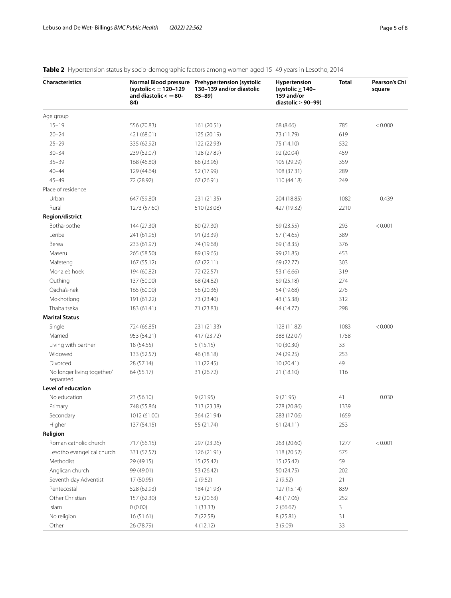| <b>Characteristics</b>                  | (systolic $\lt=120-129$<br>and diastolic $\lt=80$ -<br>84) | Normal Blood pressure Prehypertension (systolic<br>130-139 and/or diastolic<br>$85 - 89$ | Hypertension<br>(systolic $\geq$ 140-<br>159 and/or<br>diastolic $\geq$ 90-99) | Total | Pearson's Chi<br>square |
|-----------------------------------------|------------------------------------------------------------|------------------------------------------------------------------------------------------|--------------------------------------------------------------------------------|-------|-------------------------|
| Age group                               |                                                            |                                                                                          |                                                                                |       |                         |
| $15 - 19$                               | 556 (70.83)                                                | 161 (20.51)                                                                              | 68 (8.66)                                                                      | 785   | < 0.000                 |
| $20 - 24$                               | 421 (68.01)                                                | 125 (20.19)                                                                              | 73 (11.79)                                                                     | 619   |                         |
| $25 - 29$                               | 335 (62.92)                                                | 122 (22.93)                                                                              | 75 (14.10)                                                                     | 532   |                         |
| $30 - 34$                               | 239 (52.07)                                                | 128 (27.89)                                                                              | 92 (20.04)                                                                     | 459   |                         |
| $35 - 39$                               | 168 (46.80)                                                | 86 (23.96)                                                                               | 105 (29.29)                                                                    | 359   |                         |
| $40 - 44$                               | 129 (44.64)                                                | 52 (17.99)                                                                               | 108 (37.31)                                                                    | 289   |                         |
| $45 - 49$                               | 72 (28.92)                                                 | 67 (26.91)                                                                               | 110 (44.18)                                                                    | 249   |                         |
| Place of residence                      |                                                            |                                                                                          |                                                                                |       |                         |
| Urban                                   | 647 (59.80)                                                | 231 (21.35)                                                                              | 204 (18.85)                                                                    | 1082  | 0.439                   |
| Rural                                   | 1273 (57.60)                                               | 510 (23.08)                                                                              | 427 (19.32)                                                                    | 2210  |                         |
| Region/district                         |                                                            |                                                                                          |                                                                                |       |                         |
| Botha-bothe                             | 144 (27.30)                                                | 80 (27.30)                                                                               | 69 (23.55)                                                                     | 293   | < 0.001                 |
| Leribe                                  | 241 (61.95)                                                | 91 (23.39)                                                                               | 57 (14.65)                                                                     | 389   |                         |
| Berea                                   | 233 (61.97)                                                | 74 (19.68)                                                                               | 69 (18.35)                                                                     | 376   |                         |
| Maseru                                  | 265 (58.50)                                                | 89 (19.65)                                                                               | 99 (21.85)                                                                     | 453   |                         |
| Mafeteng                                | 167 (55.12)                                                | 67(22.11)                                                                                | 69 (22.77)                                                                     | 303   |                         |
| Mohale's hoek                           | 194 (60.82)                                                | 72 (22.57)                                                                               | 53 (16.66)                                                                     | 319   |                         |
| Quthing                                 | 137 (50.00)                                                | 68 (24.82)                                                                               | 69 (25.18)                                                                     | 274   |                         |
| Qacha's-nek                             | 165 (60.00)                                                | 56 (20.36)                                                                               | 54 (19.68)                                                                     | 275   |                         |
| Mokhotlong                              | 191 (61.22)                                                | 73 (23.40)                                                                               | 43 (15.38)                                                                     | 312   |                         |
| Thaba tseka                             | 183 (61.41)                                                | 71 (23.83)                                                                               | 44 (14.77)                                                                     | 298   |                         |
| <b>Marital Status</b>                   |                                                            |                                                                                          |                                                                                |       |                         |
| Single                                  | 724 (66.85)                                                | 231 (21.33)                                                                              | 128 (11.82)                                                                    | 1083  | < 0.000                 |
| Married                                 | 953 (54.21)                                                | 417 (23.72)                                                                              | 388 (22.07)                                                                    | 1758  |                         |
| Living with partner                     | 18 (54.55)                                                 | 5(15.15)                                                                                 | 10(30.30)                                                                      | 33    |                         |
| Widowed                                 | 133 (52.57)                                                | 46 (18.18)                                                                               | 74 (29.25)                                                                     | 253   |                         |
| Divorced                                | 28 (57.14)                                                 | 11 (22.45)                                                                               | 10(20.41)                                                                      | 49    |                         |
| No longer living together/<br>separated | 64 (55.17)                                                 | 31 (26.72)                                                                               | 21 (18.10)                                                                     | 116   |                         |
| Level of education                      |                                                            |                                                                                          |                                                                                |       |                         |
| No education                            | 23 (56.10)                                                 | 9(21.95)                                                                                 | 9(21.95)                                                                       | 41    | 0.030                   |
| Primary                                 | 748 (55.86)                                                | 313 (23.38)                                                                              | 278 (20.86)                                                                    | 1339  |                         |
| Secondary                               | 1012 (61.00)                                               | 364 (21.94)                                                                              | 283 (17.06)                                                                    | 1659  |                         |
| Higher                                  | 137 (54.15)                                                | 55 (21.74)                                                                               | 61(24.11)                                                                      | 253   |                         |
| Religion                                |                                                            |                                                                                          |                                                                                |       |                         |
| Roman catholic church                   | 717 (56.15)                                                | 297 (23.26)                                                                              | 263 (20.60)                                                                    | 1277  | < 0.001                 |
| Lesotho evangelical church              | 331 (57.57)                                                | 126 (21.91)                                                                              | 118 (20.52)                                                                    | 575   |                         |
| Methodist                               | 29 (49.15)                                                 | 15 (25.42)                                                                               | 15 (25.42)                                                                     | 59    |                         |
| Anglican church                         | 99 (49.01)                                                 | 53 (26.42)                                                                               | 50 (24.75)                                                                     | 202   |                         |
| Seventh day Adventist                   | 17 (80.95)                                                 | 2(9.52)                                                                                  | 2(9.52)                                                                        | 21    |                         |
| Pentecostal                             | 528 (62.93)                                                | 184 (21.93)                                                                              | 127 (15.14)                                                                    | 839   |                         |
| Other Christian                         | 157 (62.30)                                                | 52 (20.63)                                                                               | 43 (17.06)                                                                     | 252   |                         |
| Islam                                   | 0(0.00)                                                    | 1(33.33)                                                                                 | 2(66.67)                                                                       | 3     |                         |
| No religion                             | 16(51.61)                                                  | 7(22.58)                                                                                 | 8(25.81)                                                                       | 31    |                         |
| Other                                   | 26 (78.79)                                                 | 4(12.12)                                                                                 | 3(9.09)                                                                        | 33    |                         |

# <span id="page-4-0"></span>**Table 2** Hypertension status by socio-demographic factors among women aged 15–49 years in Lesotho, 2014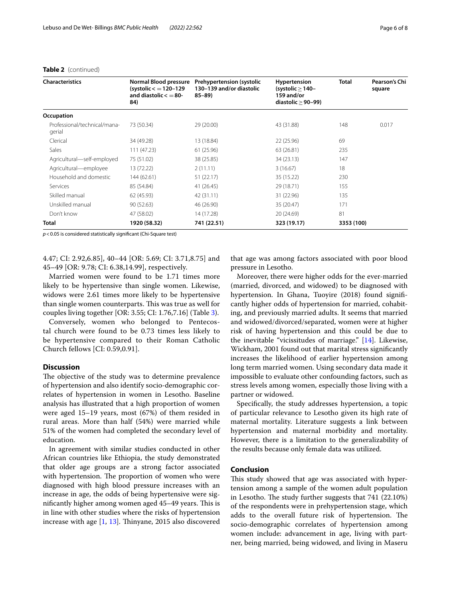| <b>Characteristics</b>                 | Normal Blood pressure<br>$(systolic < 120-129$<br>and diastolic $\lt$ = 80-<br>84) | Prehypertension (systolic<br>130-139 and/or diastolic<br>$85 - 89$ | Hypertension<br>(systolic $>$ 140-<br>159 and/or<br>diastolic $\geq$ 90-99) | <b>Total</b> | Pearson's Chi<br>square |
|----------------------------------------|------------------------------------------------------------------------------------|--------------------------------------------------------------------|-----------------------------------------------------------------------------|--------------|-------------------------|
| Occupation                             |                                                                                    |                                                                    |                                                                             |              |                         |
| Professional/technical/mana-<br>gerial | 73 (50.34)                                                                         | 29 (20.00)                                                         | 43 (31.88)                                                                  | 148          | 0.017                   |
| Clerical                               | 34 (49.28)                                                                         | 13 (18.84)                                                         | 22 (25.96)                                                                  | 69           |                         |
| Sales                                  | 111 (47.23)                                                                        | 61(25.96)                                                          | 63 (26.81)                                                                  | 235          |                         |
| Agricultural-self-employed             | 75 (51.02)                                                                         | 38 (25.85)                                                         | 34 (23.13)                                                                  | 147          |                         |
| Agricultural-employee                  | 13 (72.22)                                                                         | 2(11.11)                                                           | 3(16.67)                                                                    | 18           |                         |
| Household and domestic                 | 144 (62.61)                                                                        | 51 (22.17)                                                         | 35 (15.22)                                                                  | 230          |                         |
| Services                               | 85 (54.84)                                                                         | 41 (26.45)                                                         | 29 (18.71)                                                                  | 155          |                         |
| Skilled manual                         | 62 (45.93)                                                                         | 42 (31.11)                                                         | 31 (22.96)                                                                  | 135          |                         |
| Unskilled manual                       | 90(52.63)                                                                          | 46 (26.90)                                                         | 35 (20.47)                                                                  | 171          |                         |
| Don't know                             | 47 (58.02)                                                                         | 14 (17.28)                                                         | 20 (24.69)                                                                  | 81           |                         |
| <b>Total</b>                           | 1920 (58.32)                                                                       | 741 (22.51)                                                        | 323 (19.17)                                                                 | 3353 (100)   |                         |

# **Table 2** (continued)

*p*<0.05 is considered statistically signifcant (Chi-Square test)

4.47; CI: 2.92,6.85], 40–44 [OR: 5.69; CI: 3.71,8.75] and 45–49 [OR: 9.78; CI: 6.38,14.99], respectively.

Married women were found to be 1.71 times more likely to be hypertensive than single women. Likewise, widows were 2.61 times more likely to be hypertensive than single women counterparts. This was true as well for couples living together [OR: 3.55; CI: 1.76,7.16] (Table [3\)](#page-6-0).

Conversely, women who belonged to Pentecostal church were found to be 0.73 times less likely to be hypertensive compared to their Roman Catholic Church fellows [CI: 0.59,0.91].

# **Discussion**

The objective of the study was to determine prevalence of hypertension and also identify socio-demographic correlates of hypertension in women in Lesotho. Baseline analysis has illustrated that a high proportion of women were aged 15–19 years, most (67%) of them resided in rural areas. More than half (54%) were married while 51% of the women had completed the secondary level of education.

In agreement with similar studies conducted in other African countries like Ethiopia, the study demonstrated that older age groups are a strong factor associated with hypertension. The proportion of women who were diagnosed with high blood pressure increases with an increase in age, the odds of being hypertensive were significantly higher among women aged 45–49 years. This is in line with other studies where the risks of hypertension increase with age  $[1, 13]$  $[1, 13]$  $[1, 13]$ . Thinyane, 2015 also discovered

that age was among factors associated with poor blood pressure in Lesotho.

Moreover, there were higher odds for the ever-married (married, divorced, and widowed) to be diagnosed with hypertension. In Ghana, Tuoyire (2018) found signifcantly higher odds of hypertension for married, cohabiting, and previously married adults. It seems that married and widowed/divorced/separated, women were at higher risk of having hypertension and this could be due to the inevitable "vicissitudes of marriage."  $[14]$  $[14]$ . Likewise, Wickham, 2001 found out that marital stress signifcantly increases the likelihood of earlier hypertension among long term married women. Using secondary data made it impossible to evaluate other confounding factors, such as stress levels among women, especially those living with a partner or widowed.

Specifcally, the study addresses hypertension, a topic of particular relevance to Lesotho given its high rate of maternal mortality. Literature suggests a link between hypertension and maternal morbidity and mortality. However, there is a limitation to the generalizability of the results because only female data was utilized.

# **Conclusion**

This study showed that age was associated with hypertension among a sample of the women adult population in Lesotho. The study further suggests that  $741$   $(22.10%)$ of the respondents were in prehypertension stage, which adds to the overall future risk of hypertension. The socio-demographic correlates of hypertension among women include: advancement in age, living with partner, being married, being widowed, and living in Maseru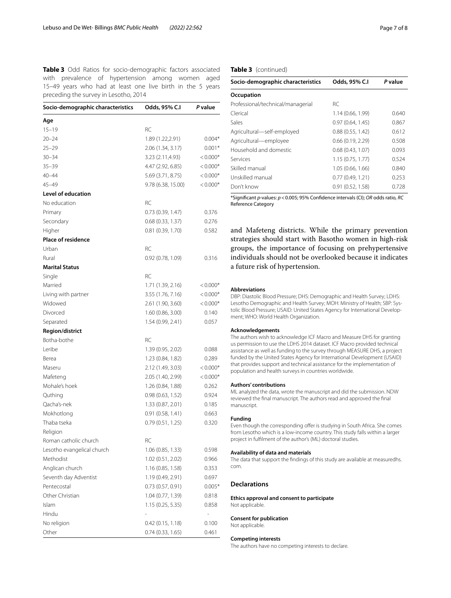<span id="page-6-0"></span>**Table 3** Odd Ratios for socio-demographic factors associated with prevalence of hypertension among women aged 15–49 years who had at least one live birth in the 5 years preceding the survey in Lesotho, 2014

| Socio-demographic characteristics | Odds, 95% C.I       | P value                  |
|-----------------------------------|---------------------|--------------------------|
| Age                               |                     |                          |
| $15 - 19$                         | RC                  |                          |
| $20 - 24$                         | 1.89 (1.22,2.91)    | $0.004*$                 |
| $25 - 29$                         | 2.06 (1.34, 3.17)   | $0.001*$                 |
| $30 - 34$                         | 3.23 (2.11,4.93)    | $< 0.000*$               |
| $35 - 39$                         | 4.47 (2.92, 6.85)   | $< 0.000*$               |
| $40 - 44$                         | 5.69 (3.71, 8.75)   | $< 0.000*$               |
| $45 - 49$                         | 9.78 (6.38, 15.00)  | $< 0.000*$               |
| <b>Level of education</b>         |                     |                          |
| No education                      | RC                  |                          |
| Primary                           | 0.73(0.39, 1.47)    | 0.376                    |
| Secondary                         | 0.68 (0.33, 1.37)   | 0.276                    |
| Higher                            | $0.81$ (0.39, 1.70) | 0.582                    |
| <b>Place of residence</b>         |                     |                          |
| Urban                             | RC                  |                          |
| Rural                             | 0.92(0.78, 1.09)    | 0.316                    |
| <b>Marital Status</b>             |                     |                          |
| Single                            | RC                  |                          |
| Married                           | 1.71 (1.39, 2.16)   | $< 0.000*$               |
| Living with partner               | 3.55 (1.76, 7.16)   | $< 0.000*$               |
| Widowed                           | 2.61 (1.90, 3.60)   | $< 0.000*$               |
| Divorced                          | 1.60 (0.86, 3.00)   | 0.140                    |
| Separated                         | 1.54 (0.99, 2.41)   | 0.057                    |
| Region/district                   |                     |                          |
| Botha-bothe                       | RC                  |                          |
| Leribe                            | 1.39 (0.95, 2.02)   | 0.088                    |
| Berea                             | 1.23 (0.84, 1.82)   | 0.289                    |
| Maseru                            | 2.12 (1.49, 3.03)   | $< 0.000*$               |
| Mafeteng                          | 2.05 (1.40, 2.99)   | $< 0.000*$               |
| Mohale's hoek                     | 1.26 (0.84, 1.88)   | 0.262                    |
| Quthing                           | 0.98(0.63, 1.52)    | 0.924                    |
| Qacha's-nek                       | 1.33 (0.87, 2.01)   | 0.185                    |
| Mokhotlong                        | 0.91(0.58, 1.41)    | 0.663                    |
| Thaba tseka                       | 0.79(0.51, 1.25)    | 0.320                    |
| Religion                          |                     |                          |
| Roman catholic church             | RС                  |                          |
| Lesotho evangelical church        | 1.06 (0.85, 1.33)   | 0.598                    |
| Methodist                         | 1.02 (0.51, 2.02)   | 0.966                    |
| Anglican church                   | 1.16 (0.85, 1.58)   | 0.353                    |
| Seventh day Adventist             | 1.19 (0.49, 2.91)   | 0.697                    |
| Pentecostal                       | 0.73(0.57, 0.91)    | $0.005*$                 |
| Other Christian                   | 1.04 (0.77, 1.39)   | 0.818                    |
| <b>Islam</b>                      | 1.15(0.25, 5.35)    | 0.858                    |
| Hindu                             |                     | $\overline{\phantom{0}}$ |
| No religion                       | 0.42(0.15, 1.18)    | 0.100                    |
| Other                             | 0.74(0.33, 1.65)    | 0.461                    |
|                                   |                     |                          |

# **Table 3** (continued)

| Odds, 95% C.I     | P value |
|-------------------|---------|
|                   |         |
| RC.               |         |
| 1.14 (0.66, 1.99) | 0.640   |
| 0.97(0.64, 1.45)  | 0.867   |
| 0.88(0.55, 1.42)  | 0.612   |
| 0.66(0.19, 2.29)  | 0.508   |
| 0.68(0.43, 1.07)  | 0.093   |
| 1.15(0.75, 1.77)  | 0.524   |
| 1.05 (0.66, 1.66) | 0.840   |
| 0.77(0.49, 1.21)  | 0.253   |
| 0.91(0.52, 1.58)  | 0.728   |
|                   |         |

\*Signifcant *p*-values: *p*<0.005; 95% Confdence intervals (CI); *OR* odds ratio, *RC* Reference Category

and Mafeteng districts. While the primary prevention strategies should start with Basotho women in high-risk groups, the importance of focusing on prehypertensive individuals should not be overlooked because it indicates a future risk of hypertension.

## **Abbreviations**

DBP: Diastolic Blood Pressure; DHS: Demographic and Health Survey; LDHS: Lesotho Demographic and Health Survey; MOH: Ministry of Health; SBP: Systolic Blood Pressure; USAID: United States Agency for International Development; WHO: World Health Organization.

#### **Acknowledgements**

The authors wish to acknowledge ICF Macro and Measure DHS for granting us permission to use the LDHS 2014 dataset. ICF Macro provided technical assistance as well as funding to the survey through MEASURE DHS, a project funded by the United States Agency for International Development (USAID) that provides support and technical assistance for the implementation of population and health surveys in countries worldwide.

#### **Authors' contributions**

ML analyzed the data, wrote the manuscript and did the submission. NDW reviewed the fnal manuscript. The authors read and approved the fnal manuscript.

# **Funding**

Even though the corresponding offer is studying in South Africa. She comes from Lesotho which is a low-income country. This study falls within a larger project in fulflment of the author's (ML) doctoral studies.

#### **Availability of data and materials**

The data that support the fndings of this study are available at measuredhs. com.

# **Declarations**

**Ethics approval and consent to participate** Not applicable.

#### **Consent for publication**

Not applicable.

#### **Competing interests**

The authors have no competing interests to declare.